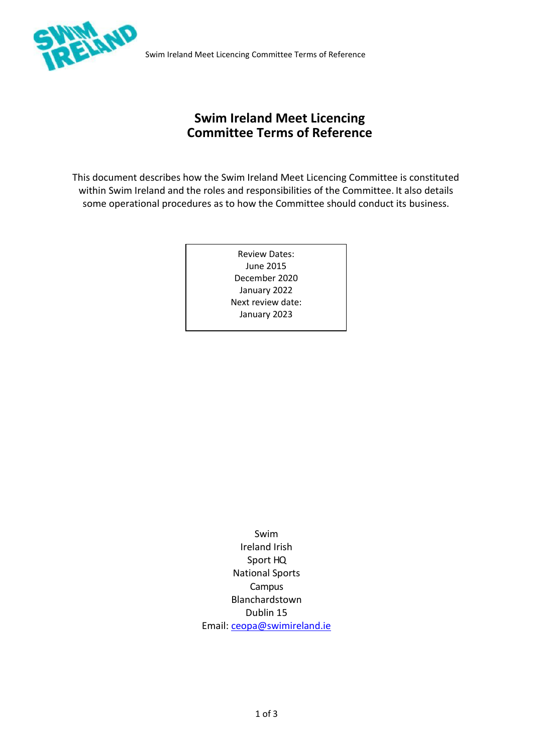

Swim Ireland Meet Licencing Committee Terms of Reference

# **Swim Ireland Meet Licencing Committee Terms of Reference**

This document describes how the Swim Ireland Meet Licencing Committee is constituted within Swim Ireland and the roles and responsibilities of the Committee. It also details some operational procedures as to how the Committee should conduct its business.

> Review Dates: June 2015 December 2020 January 2022 Next review date: January 2023

Swim Ireland Irish Sport HQ National Sports Campus Blanchardstown Dublin 15 Email: [ceopa@swimireland.ie](mailto:ceopa@swimireland.ie)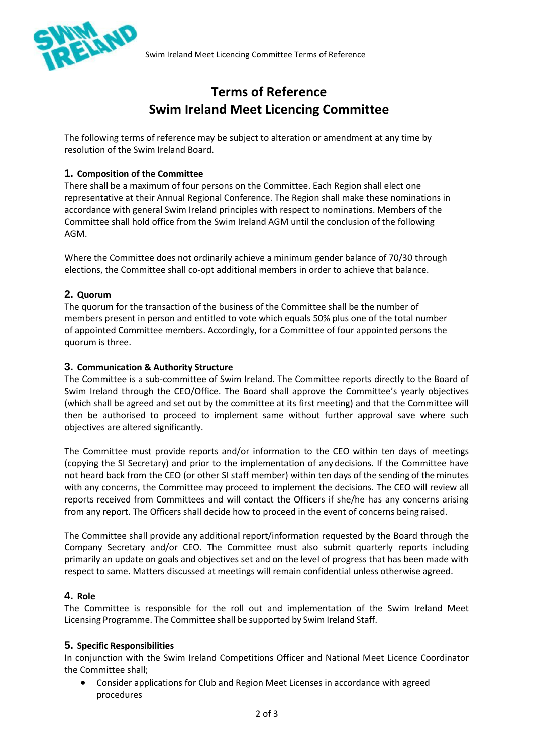

# **Terms of Reference Swim Ireland Meet Licencing Committee**

The following terms of reference may be subject to alteration or amendment at any time by resolution of the Swim Ireland Board.

### **1. Composition of the Committee**

There shall be a maximum of four persons on the Committee. Each Region shall elect one representative at their Annual Regional Conference. The Region shall make these nominations in accordance with general Swim Ireland principles with respect to nominations. Members of the Committee shall hold office from the Swim Ireland AGM until the conclusion of the following AGM.

Where the Committee does not ordinarily achieve a minimum gender balance of 70/30 through elections, the Committee shall co-opt additional members in order to achieve that balance.

## **2. Quorum**

The quorum for the transaction of the business of the Committee shall be the number of members present in person and entitled to vote which equals 50% plus one of the total number of appointed Committee members. Accordingly, for a Committee of four appointed persons the quorum is three.

### **3. Communication & Authority Structure**

The Committee is a sub-committee of Swim Ireland. The Committee reports directly to the Board of Swim Ireland through the CEO/Office. The Board shall approve the Committee's yearly objectives (which shall be agreed and set out by the committee at its first meeting) and that the Committee will then be authorised to proceed to implement same without further approval save where such objectives are altered significantly.

The Committee must provide reports and/or information to the CEO within ten days of meetings (copying the SI Secretary) and prior to the implementation of any decisions. If the Committee have not heard back from the CEO (or other SI staff member) within ten days of the sending of the minutes with any concerns, the Committee may proceed to implement the decisions. The CEO will review all reports received from Committees and will contact the Officers if she/he has any concerns arising from any report. The Officers shall decide how to proceed in the event of concerns being raised.

The Committee shall provide any additional report/information requested by the Board through the Company Secretary and/or CEO. The Committee must also submit quarterly reports including primarily an update on goals and objectives set and on the level of progress that has been made with respect to same. Matters discussed at meetings will remain confidential unless otherwise agreed.

### **4. Role**

The Committee is responsible for the roll out and implementation of the Swim Ireland Meet Licensing Programme. The Committee shall be supported by Swim Ireland Staff.

### **5. Specific Responsibilities**

In conjunction with the Swim Ireland Competitions Officer and National Meet Licence Coordinator the Committee shall;

• Consider applications for Club and Region Meet Licenses in accordance with agreed procedures